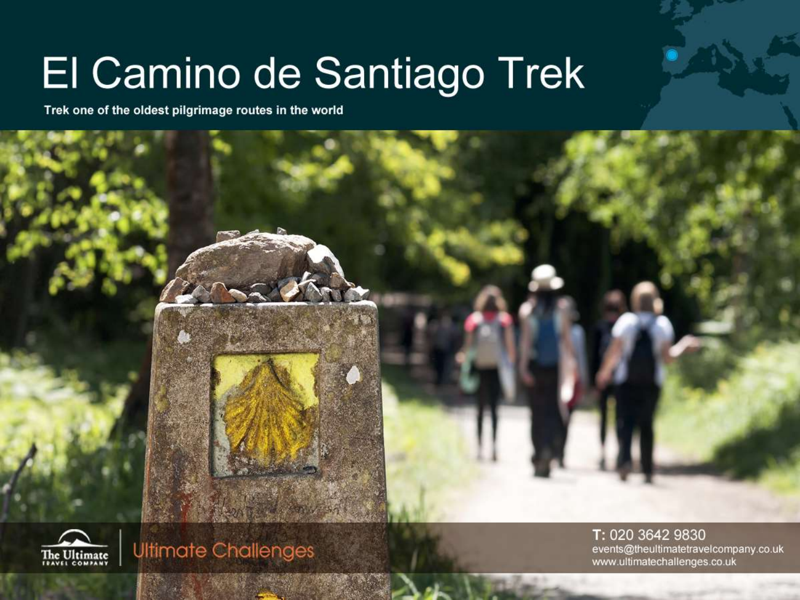# El Camino de Santiago Trek

Trek one of the oldest pilgrimage routes in the world





**Ultimate Challenges** 

T: 020 3642 9830 events@theultimatetravelcompany.co.uk www.ultimatechallenges.co.uk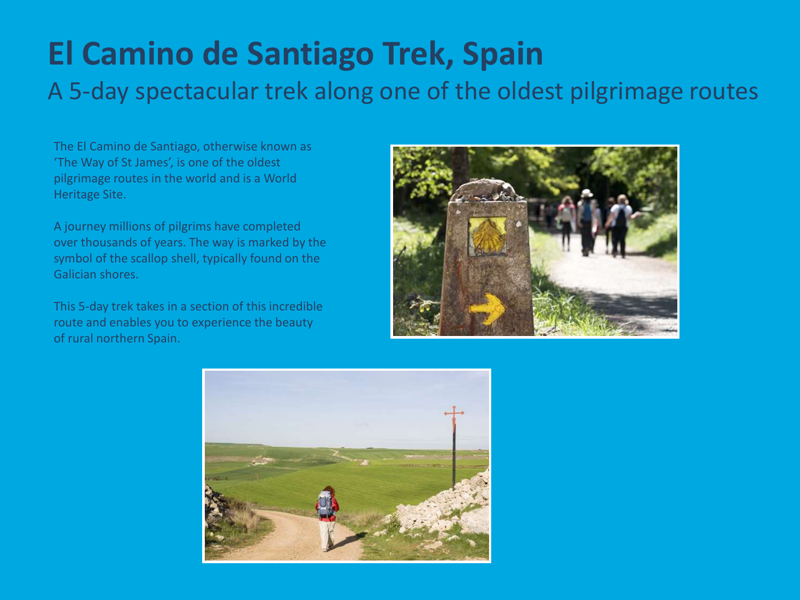## **El Camino de Santiago Trek, Spain** A 5-day spectacular trek along one of the oldest pilgrimage routes

The El Camino de Santiago, otherwise known as 'The Way of St James', is one of the oldest pilgrimage routes in the world and is a World Heritage Site.

A journey millions of pilgrims have completed over thousands of years. The way is marked by the symbol of the scallop shell, typically found on the Galician shores.

This 5-day trek takes in a section of this incredible route and enables you to experience the beauty of rural northern Spain.